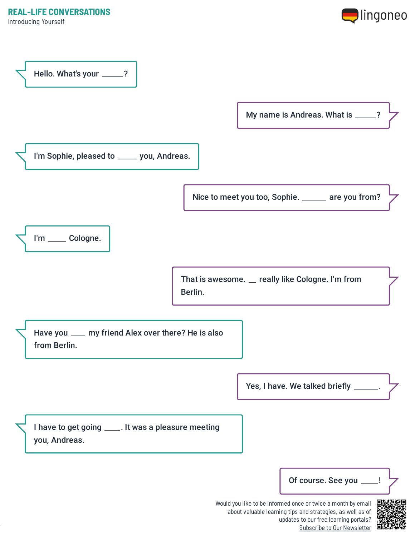Introducing Yourself